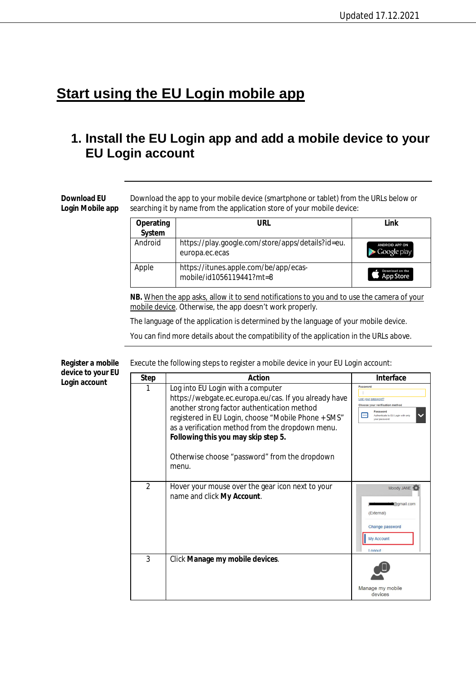## **Start using the EU Login mobile app**

## **1. Install the EU Login app and add a mobile device to your EU Login account**

**Download EU Login Mobile app** Download the app to your mobile device (smartphone or tablet) from the URLs below or searching it by name from the application store of your mobile device:

| Operating<br>System | URL                                                                 | Link                                 |
|---------------------|---------------------------------------------------------------------|--------------------------------------|
| Android             | https://play.google.com/store/apps/details?id=eu.<br>europa.ec.ecas | <b>ANDROID APP ON</b><br>Google play |
| Apple               | https://itunes.apple.com/be/app/ecas-<br>mobile/id1056119441?mt=8   | Download on the<br>App Store         |

**NB.** When the app asks, allow it to send notifications to you and to use the camera of your mobile device. Otherwise, the app doesn't work properly.

The language of the application is determined by the language of your mobile device.

You can find more details about the compatibility of the application in the URLs above.

| device to your EU | <b>Step</b>    | Action                                                                                                                                                                                                                                                                                                                                                | <b>Interface</b>                                                                                                                                               |
|-------------------|----------------|-------------------------------------------------------------------------------------------------------------------------------------------------------------------------------------------------------------------------------------------------------------------------------------------------------------------------------------------------------|----------------------------------------------------------------------------------------------------------------------------------------------------------------|
| Login account     | 1              | Log into EU Login with a computer<br>https://webgate.ec.europa.eu/cas. If you already have<br>another strong factor authentication method<br>registered in EU Login, choose "Mobile Phone + SMS"<br>as a verification method from the dropdown menu.<br>Following this you may skip step 5.<br>Otherwise choose "password" from the dropdown<br>menu. | Password<br>ost your password?<br>Choose your verification method<br>Password<br><b>I</b> <sub>m</sub><br>Authenticate to EU Login with only<br>vour password. |
|                   | $\overline{2}$ | Hover your mouse over the gear icon next to your<br>name and click My Account.                                                                                                                                                                                                                                                                        | Moody JANE<br>@gmail.com<br>(External)<br>Change password<br>My Account<br>Logout                                                                              |
|                   | 3              | Click Manage my mobile devices.                                                                                                                                                                                                                                                                                                                       | Manage my mobile<br>devices                                                                                                                                    |

Execute the following steps to register a mobile device in your EU Login account: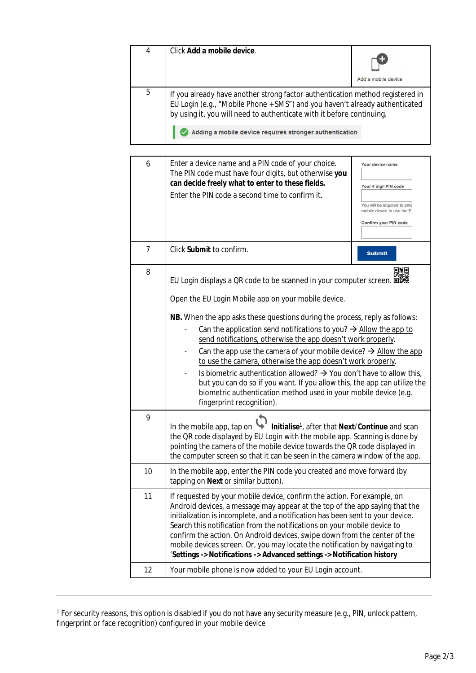| 4 | Click Add a mobile device.                                                                                                                                                                                                            | Add a mobile device |  |
|---|---------------------------------------------------------------------------------------------------------------------------------------------------------------------------------------------------------------------------------------|---------------------|--|
| 5 | If you already have another strong factor authentication method registered in<br>EU Login (e.g., "Mobile Phone + SMS") and you haven't already authenticated<br>by using it, you will need to authenticate with it before continuing. |                     |  |
|   | Adding a mobile device requires stronger authentication                                                                                                                                                                               |                     |  |

| 6              | Enter a device name and a PIN code of your choice.<br>The PIN code must have four digits, but otherwise you<br>can decide freely what to enter to these fields.<br>Enter the PIN code a second time to confirm it.                                                                                                                                                                                                                                                                                                                                                                                                                                                                                                                                                                     | Your device name<br>Your 4 digit PIN code<br>You will be required to ente<br>mobile device to use the El<br>Confirm your PIN code |  |
|----------------|----------------------------------------------------------------------------------------------------------------------------------------------------------------------------------------------------------------------------------------------------------------------------------------------------------------------------------------------------------------------------------------------------------------------------------------------------------------------------------------------------------------------------------------------------------------------------------------------------------------------------------------------------------------------------------------------------------------------------------------------------------------------------------------|-----------------------------------------------------------------------------------------------------------------------------------|--|
| $\overline{7}$ | Click Submit to confirm.                                                                                                                                                                                                                                                                                                                                                                                                                                                                                                                                                                                                                                                                                                                                                               | <b>Submit</b>                                                                                                                     |  |
| 8              | 口角回<br>EU Login displays a QR code to be scanned in your computer screen. 回避略<br>Open the EU Login Mobile app on your mobile device.<br>NB. When the app asks these questions during the process, reply as follows:<br>Can the application send notifications to you? $\rightarrow$ Allow the app to<br>send notifications, otherwise the app doesn't work properly.<br>Can the app use the camera of your mobile device? $\rightarrow$ Allow the app<br>to use the camera, otherwise the app doesn't work properly.<br>Is biometric authentication allowed? $\rightarrow$ You don't have to allow this,<br>but you can do so if you want. If you allow this, the app can utilize the<br>biometric authentication method used in your mobile device (e.g.<br>fingerprint recognition). |                                                                                                                                   |  |
| 9              | Initialise <sup>1</sup> , after that Next/Continue and scan<br>In the mobile app, tap on<br>the QR code displayed by EU Login with the mobile app. Scanning is done by<br>pointing the camera of the mobile device towards the QR code displayed in<br>the computer screen so that it can be seen in the camera window of the app.                                                                                                                                                                                                                                                                                                                                                                                                                                                     |                                                                                                                                   |  |
| 10             | In the mobile app, enter the PIN code you created and move forward (by<br>tapping on Next or similar button).                                                                                                                                                                                                                                                                                                                                                                                                                                                                                                                                                                                                                                                                          |                                                                                                                                   |  |
| 11             | If requested by your mobile device, confirm the action. For example, on<br>Android devices, a message may appear at the top of the app saying that the<br>initialization is incomplete, and a notification has been sent to your device.<br>Search this notification from the notifications on your mobile device to<br>confirm the action. On Android devices, swipe down from the center of the<br>mobile devices screen. Or, you may locate the notification by navigating to<br>'Settings -> Notifications -> Advanced settings -> Notification history                                                                                                                                                                                                                            |                                                                                                                                   |  |
| 12             | Your mobile phone is now added to your EU Login account.                                                                                                                                                                                                                                                                                                                                                                                                                                                                                                                                                                                                                                                                                                                               |                                                                                                                                   |  |

<sup>&</sup>lt;sup>1</sup> For security reasons, this option is disabled if you do not have any security measure (e.g., PIN, unlock pattern, fingerprint or face recognition) configured in your mobile device

 $\overline{\phantom{0}}$